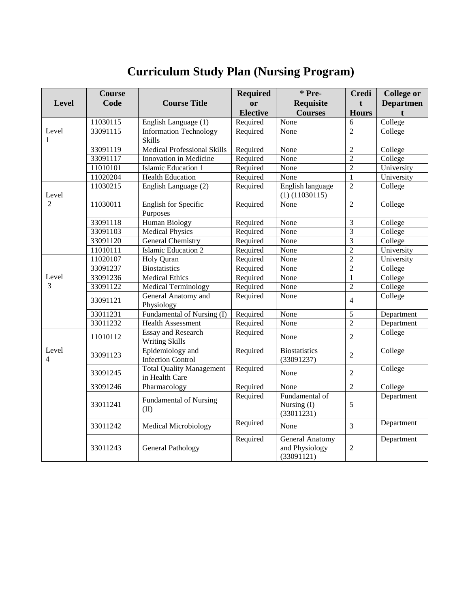## **Curriculum Study Plan (Nursing Program)**

|                         | <b>Course</b> |                                    | <b>Required</b>  | * Pre-                 | <b>Credi</b>   | <b>College or</b> |
|-------------------------|---------------|------------------------------------|------------------|------------------------|----------------|-------------------|
| <b>Level</b>            | Code          | <b>Course Title</b>                | or               | <b>Requisite</b>       | $\mathbf{f}$   | <b>Departmen</b>  |
|                         |               |                                    | <b>Elective</b>  | <b>Courses</b>         | <b>Hours</b>   |                   |
| Level                   | 11030115      | English Language (1)               | Required<br>None |                        | 6              | College           |
|                         | 33091115      | <b>Information Technology</b>      | Required         | None                   | $\overline{2}$ | College           |
| 1                       |               | <b>Skills</b>                      |                  |                        |                |                   |
|                         | 33091119      | <b>Medical Professional Skills</b> | Required         | None                   | $\overline{2}$ | College           |
|                         | 33091117      | Innovation in Medicine             | Required         | None                   | $\overline{2}$ | College           |
|                         | 11010101      | <b>Islamic Education 1</b>         | Required         | None                   | $\overline{2}$ | University        |
|                         | 11020204      | <b>Health Education</b>            | Required         | None                   | $\mathbf{1}$   | University        |
|                         | 11030215      | English Language (2)               | Required         | English language       | $\overline{2}$ | College           |
| Level                   |               |                                    |                  | $(1)$ $(11030115)$     |                |                   |
| $\overline{2}$          | 11030011      | <b>English for Specific</b>        | Required         | None                   | $\overline{2}$ | College           |
|                         |               | Purposes                           |                  |                        |                |                   |
|                         | 33091118      | <b>Human Biology</b>               | Required         | None                   | 3              | College           |
|                         | 33091103      | <b>Medical Physics</b>             | Required         | None                   | $\overline{3}$ | College           |
|                         | 33091120      | <b>General Chemistry</b>           | Required         | None                   | $\overline{3}$ | College           |
|                         | 11010111      | <b>Islamic Education 2</b>         | Required         | None                   | $\overline{2}$ | University        |
|                         | 11020107      | <b>Holy Quran</b>                  | Required         | None                   | $\overline{2}$ | University        |
|                         | 33091237      | <b>Biostatistics</b>               | Required         | None                   | $\overline{2}$ | College           |
| Level<br>3              | 33091236      | <b>Medical Ethics</b>              | Required         | None                   | $\mathbf{1}$   | College           |
|                         | 33091122      | <b>Medical Terminology</b>         | Required         | None                   | $\overline{2}$ | College           |
|                         | 33091121      | General Anatomy and                | Required         | None                   | $\overline{4}$ | College           |
|                         |               | Physiology                         |                  |                        |                |                   |
|                         | 33011231      | Fundamental of Nursing (I)         | Required         | None                   | $\overline{5}$ | Department        |
|                         | 33011232      | Health Assessment                  | Required         | None                   | $\overline{2}$ | Department        |
|                         | 11010112      | <b>Essay and Research</b>          | Required         | None                   | $\overline{2}$ | College           |
|                         |               | <b>Writing Skills</b>              |                  |                        |                |                   |
| Level<br>$\overline{4}$ | 33091123      | Epidemiology and                   | Required         | <b>Biostatistics</b>   | $\overline{2}$ | College           |
|                         |               | <b>Infection Control</b>           |                  | (33091237)             |                |                   |
|                         | 33091245      | <b>Total Quality Management</b>    | Required         | None                   | $\overline{2}$ | College           |
|                         |               | in Health Care                     |                  |                        |                |                   |
|                         | 33091246      | Pharmacology                       | Required         | None                   | $\overline{2}$ | College           |
|                         |               | <b>Fundamental of Nursing</b>      | Required         | Fundamental of         |                | Department        |
|                         | 33011241      | (II)                               |                  | Nursing (I)            | 5              |                   |
|                         |               |                                    |                  | (33011231)             |                |                   |
|                         | 33011242      | <b>Medical Microbiology</b>        | Required         | None                   | $\overline{3}$ | Department        |
|                         |               |                                    | Required         | <b>General Anatomy</b> |                | Department        |
|                         | 33011243      | <b>General Pathology</b>           |                  | and Physiology         | $\overline{c}$ |                   |
|                         |               |                                    |                  | (33091121)             |                |                   |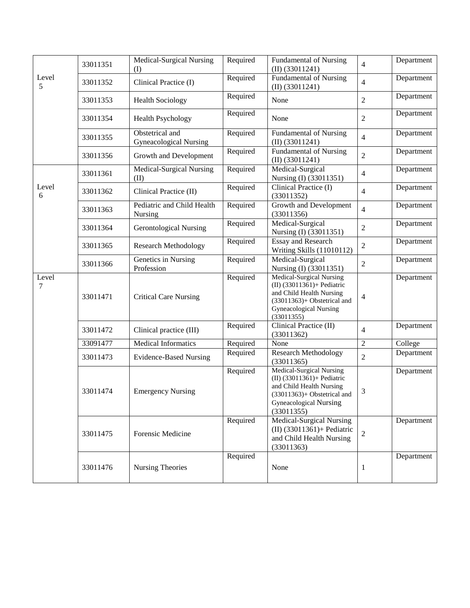|            | 33011351 | Medical-Surgical Nursing<br>(I)                  | Required | <b>Fundamental of Nursing</b><br>$(II)$ (33011241)                                                                                                                  | $\overline{4}$ | Department |
|------------|----------|--------------------------------------------------|----------|---------------------------------------------------------------------------------------------------------------------------------------------------------------------|----------------|------------|
| Level<br>5 | 33011352 | Clinical Practice (I)                            | Required | Fundamental of Nursing<br>$(II)$ (33011241)                                                                                                                         | $\overline{4}$ | Department |
|            | 33011353 | <b>Health Sociology</b>                          | Required | None                                                                                                                                                                | $\overline{2}$ | Department |
|            | 33011354 | <b>Health Psychology</b>                         | Required | None                                                                                                                                                                | $\mathfrak{2}$ | Department |
|            | 33011355 | Obstetrical and<br><b>Gyneacological Nursing</b> | Required | <b>Fundamental of Nursing</b><br>$(II)$ (33011241)                                                                                                                  | $\overline{4}$ | Department |
|            | 33011356 | Growth and Development                           | Required | <b>Fundamental of Nursing</b><br>$(II)$ (33011241)                                                                                                                  | $\overline{2}$ | Department |
| Level<br>6 | 33011361 | Medical-Surgical Nursing<br>(II)                 | Required | Medical-Surgical<br>Nursing (I) (33011351)                                                                                                                          | $\overline{4}$ | Department |
|            | 33011362 | Clinical Practice (II)                           | Required | Clinical Practice (I)<br>(33011352)                                                                                                                                 | $\overline{4}$ | Department |
|            | 33011363 | Pediatric and Child Health<br>Nursing            | Required | Growth and Development<br>(33011356)                                                                                                                                | $\overline{4}$ | Department |
|            | 33011364 | <b>Gerontological Nursing</b>                    | Required | Medical-Surgical<br>Nursing (I) (33011351)                                                                                                                          | $\mathfrak{2}$ | Department |
|            | 33011365 | <b>Research Methodology</b>                      | Required | <b>Essay and Research</b><br>Writing Skills (11010112)                                                                                                              | $\overline{2}$ | Department |
|            | 33011366 | Genetics in Nursing<br>Profession                | Required | Medical-Surgical<br>Nursing (I) (33011351)                                                                                                                          | $\overline{2}$ | Department |
| Level<br>7 | 33011471 | <b>Critical Care Nursing</b>                     | Required | <b>Medical-Surgical Nursing</b><br>(II) (33011361)+ Pediatric<br>and Child Health Nursing<br>$(33011363)$ + Obstetrical and<br>Gyneacological Nursing<br>(33011355) | 4              | Department |
|            | 33011472 | Clinical practice (III)                          | Required | Clinical Practice (II)<br>(33011362)                                                                                                                                | $\overline{4}$ | Department |
|            | 33091477 | <b>Medical Informatics</b>                       | Required | None                                                                                                                                                                | $\overline{2}$ | College    |
|            | 33011473 | <b>Evidence-Based Nursing</b>                    | Required | <b>Research Methodology</b><br>(33011365)                                                                                                                           | $\overline{2}$ | Department |
|            | 33011474 | <b>Emergency Nursing</b>                         | Required | Medical-Surgical Nursing<br>(II) (33011361)+ Pediatric<br>and Child Health Nursing<br>$(33011363)$ + Obstetrical and<br><b>Gyneacological Nursing</b><br>(33011355) | 3              | Department |
|            | 33011475 | Forensic Medicine                                | Required | Medical-Surgical Nursing<br>(II) (33011361)+ Pediatric<br>and Child Health Nursing<br>(33011363)                                                                    | $\overline{2}$ | Department |
|            | 33011476 | Nursing Theories                                 | Required | None                                                                                                                                                                | $\mathbf{1}$   | Department |